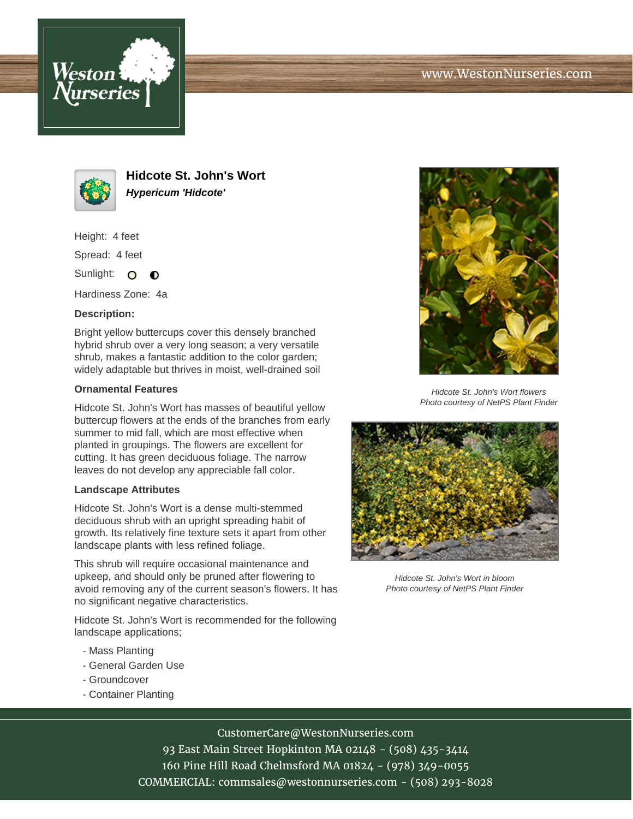



**Hidcote St. John's Wort Hypericum 'Hidcote'**

Height: 4 feet

Spread: 4 feet

Sunlight: O  $\bullet$ 

Hardiness Zone: 4a

# **Description:**

Bright yellow buttercups cover this densely branched hybrid shrub over a very long season; a very versatile shrub, makes a fantastic addition to the color garden; widely adaptable but thrives in moist, well-drained soil

# **Ornamental Features**

Hidcote St. John's Wort has masses of beautiful yellow buttercup flowers at the ends of the branches from early summer to mid fall, which are most effective when planted in groupings. The flowers are excellent for cutting. It has green deciduous foliage. The narrow leaves do not develop any appreciable fall color.

# **Landscape Attributes**

Hidcote St. John's Wort is a dense multi-stemmed deciduous shrub with an upright spreading habit of growth. Its relatively fine texture sets it apart from other landscape plants with less refined foliage.

This shrub will require occasional maintenance and upkeep, and should only be pruned after flowering to avoid removing any of the current season's flowers. It has no significant negative characteristics.

Hidcote St. John's Wort is recommended for the following landscape applications;

- Mass Planting
- General Garden Use
- Groundcover
- Container Planting



Hidcote St. John's Wort flowers Photo courtesy of NetPS Plant Finder



Hidcote St. John's Wort in bloom Photo courtesy of NetPS Plant Finder

# CustomerCare@WestonNurseries.com

93 East Main Street Hopkinton MA 02148 - (508) 435-3414 160 Pine Hill Road Chelmsford MA 01824 - (978) 349-0055 COMMERCIAL: commsales@westonnurseries.com - (508) 293-8028